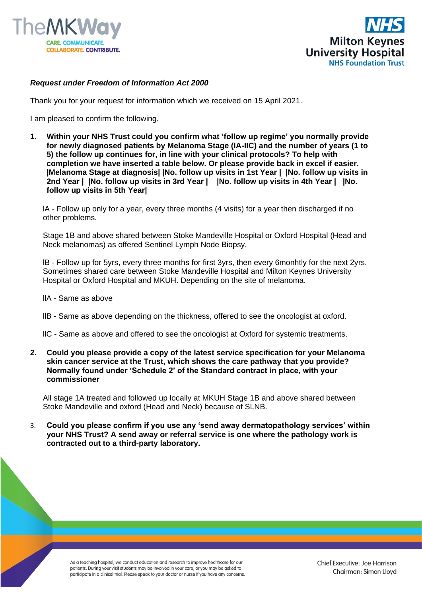



## *Request under Freedom of Information Act 2000*

Thank you for your request for information which we received on 15 April 2021.

I am pleased to confirm the following.

**1. Within your NHS Trust could you confirm what 'follow up regime' you normally provide for newly diagnosed patients by Melanoma Stage (IA-IIC) and the number of years (1 to 5) the follow up continues for, in line with your clinical protocols? To help with completion we have inserted a table below. Or please provide back in excel if easier. |Melanoma Stage at diagnosis| |No. follow up visits in 1st Year | |No. follow up visits in 2nd Year | |No. follow up visits in 3rd Year | |No. follow up visits in 4th Year | |No. follow up visits in 5th Year|**

lA - Follow up only for a year, every three months (4 visits) for a year then discharged if no other problems.

Stage 1B and above shared between Stoke Mandeville Hospital or Oxford Hospital (Head and Neck melanomas) as offered Sentinel Lymph Node Biopsy.

lB - Follow up for 5yrs, every three months for first 3yrs, then every 6monhtly for the next 2yrs. Sometimes shared care between Stoke Mandeville Hospital and Milton Keynes University Hospital or Oxford Hospital and MKUH. Depending on the site of melanoma.

- llA Same as above
- llB Same as above depending on the thickness, offered to see the oncologist at oxford.
- llC Same as above and offered to see the oncologist at Oxford for systemic treatments.
- **2. Could you please provide a copy of the latest service specification for your Melanoma skin cancer service at the Trust, which shows the care pathway that you provide? Normally found under 'Schedule 2' of the Standard contract in place, with your commissioner**

All stage 1A treated and followed up locally at MKUH Stage 1B and above shared between Stoke Mandeville and oxford (Head and Neck) because of SLNB.

3. **Could you please confirm if you use any 'send away dermatopathology services' within your NHS Trust? A send away or referral service is one where the pathology work is contracted out to a third-party laboratory.**

> As a teaching hospital, we conduct education and research to improve healthcare for our patients. During your visit students may be involved in your care, or you may be asked to participate in a clinical trial. Please speak to your doctor or nurse if you have any concerns.